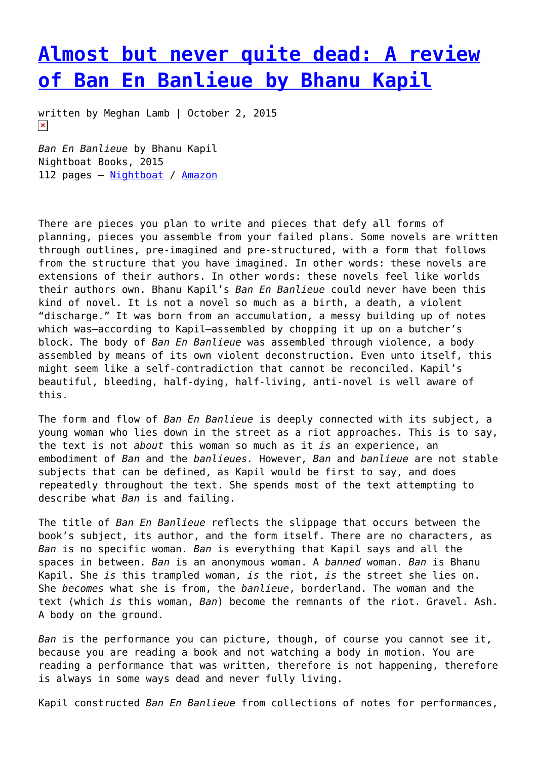## **[Almost but never quite dead: A review](https://entropymag.org/almost-but-never-quite-dead-a-review-of-ban-en-banlieue-by-bhanu-kapil/) [of Ban En Banlieue by Bhanu Kapil](https://entropymag.org/almost-but-never-quite-dead-a-review-of-ban-en-banlieue-by-bhanu-kapil/)**

written by Meghan Lamb | October 2, 2015  $\pmb{\times}$ 

*Ban En Banlieue* by Bhanu Kapil Nightboat Books, 2015 112 pages – [Nightboat](http://www.nightboat.org/title/ban-en-banlieue) / [Amazon](http://www.amazon.com/Ban-en-Banlieue-Bhanu-Kapil/dp/1937658244/ref=sr_1_1?ie=UTF8&qid=1443397575&sr=8-1&keywords=ban+en+banlieue)

There are pieces you plan to write and pieces that defy all forms of planning, pieces you assemble from your failed plans. Some novels are written through outlines, pre-imagined and pre-structured, with a form that follows from the structure that you have imagined. In other words: these novels are extensions of their authors. In other words: these novels feel like worlds their authors own. Bhanu Kapil's *Ban En Banlieue* could never have been this kind of novel. It is not a novel so much as a birth, a death, a violent "discharge." It was born from an accumulation, a messy building up of notes which was-according to Kapil-assembled by chopping it up on a butcher's block. The body of *Ban En Banlieue* was assembled through violence, a body assembled by means of its own violent deconstruction. Even unto itself, this might seem like a self-contradiction that cannot be reconciled. Kapil's beautiful, bleeding, half-dying, half-living, anti-novel is well aware of this.

The form and flow of *Ban En Banlieue* is deeply connected with its subject, a young woman who lies down in the street as a riot approaches. This is to say, the text is not *about* this woman so much as it *is* an experience, an embodiment of *Ban* and the *banlieues.* However, *Ban* and *banlieue* are not stable subjects that can be defined, as Kapil would be first to say, and does repeatedly throughout the text. She spends most of the text attempting to describe what *Ban* is and failing.

The title of *Ban En Banlieue* reflects the slippage that occurs between the book's subject, its author, and the form itself. There are no characters, as *Ban* is no specific woman. *Ban* is everything that Kapil says and all the spaces in between. *Ban* is an anonymous woman. A *banned* woman. *Ban* is Bhanu Kapil. She *is* this trampled woman, *is* the riot, *is* the street she lies on. She *becomes* what she is from, the *banlieue*, borderland. The woman and the text (which *is* this woman, *Ban*) become the remnants of the riot. Gravel. Ash. A body on the ground.

*Ban* is the performance you can picture, though, of course you cannot see it, because you are reading a book and not watching a body in motion. You are reading a performance that was written, therefore is not happening, therefore is always in some ways dead and never fully living.

Kapil constructed *Ban En Banlieue* from collections of notes for performances,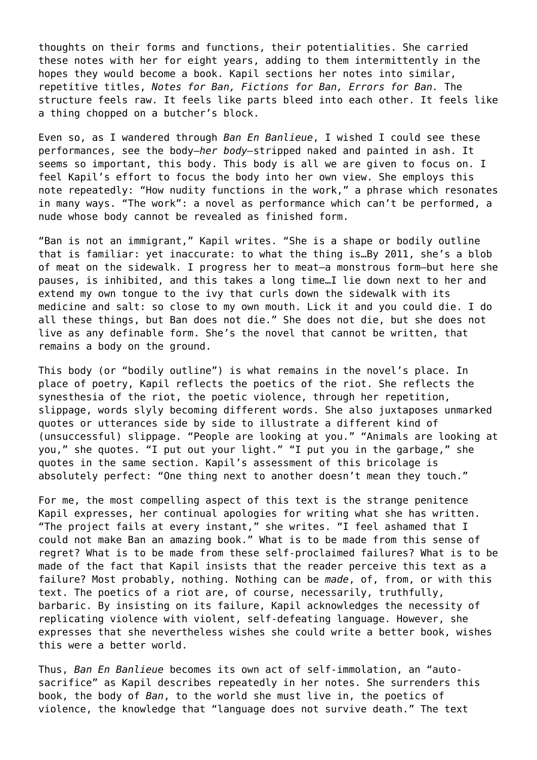thoughts on their forms and functions, their potentialities. She carried these notes with her for eight years, adding to them intermittently in the hopes they would become a book. Kapil sections her notes into similar, repetitive titles, *Notes for Ban, Fictions for Ban, Errors for Ban.* The structure feels raw. It feels like parts bleed into each other. It feels like a thing chopped on a butcher's block.

Even so, as I wandered through *Ban En Banlieue*, I wished I could see these performances, see the body—*her body—*stripped naked and painted in ash. It seems so important, this body. This body is all we are given to focus on. I feel Kapil's effort to focus the body into her own view. She employs this note repeatedly: "How nudity functions in the work," a phrase which resonates in many ways. "The work": a novel as performance which can't be performed, a nude whose body cannot be revealed as finished form.

"Ban is not an immigrant," Kapil writes. "She is a shape or bodily outline that is familiar: yet inaccurate: to what the thing is…By 2011, she's a blob of meat on the sidewalk. I progress her to meat—a monstrous form—but here she pauses, is inhibited, and this takes a long time…I lie down next to her and extend my own tongue to the ivy that curls down the sidewalk with its medicine and salt: so close to my own mouth. Lick it and you could die. I do all these things, but Ban does not die." She does not die, but she does not live as any definable form. She's the novel that cannot be written, that remains a body on the ground.

This body (or "bodily outline") is what remains in the novel's place. In place of poetry, Kapil reflects the poetics of the riot. She reflects the synesthesia of the riot, the poetic violence, through her repetition, slippage, words slyly becoming different words. She also juxtaposes unmarked quotes or utterances side by side to illustrate a different kind of (unsuccessful) slippage. "People are looking at you." "Animals are looking at you," she quotes. "I put out your light." "I put you in the garbage," she quotes in the same section. Kapil's assessment of this bricolage is absolutely perfect: "One thing next to another doesn't mean they touch."

For me, the most compelling aspect of this text is the strange penitence Kapil expresses, her continual apologies for writing what she has written. "The project fails at every instant," she writes. "I feel ashamed that I could not make Ban an amazing book." What is to be made from this sense of regret? What is to be made from these self-proclaimed failures? What is to be made of the fact that Kapil insists that the reader perceive this text as a failure? Most probably, nothing. Nothing can be *made*, of, from, or with this text. The poetics of a riot are, of course, necessarily, truthfully, barbaric. By insisting on its failure, Kapil acknowledges the necessity of replicating violence with violent, self-defeating language. However, she expresses that she nevertheless wishes she could write a better book, wishes this were a better world.

Thus, *Ban En Banlieue* becomes its own act of self-immolation, an "autosacrifice" as Kapil describes repeatedly in her notes. She surrenders this book, the body of *Ban*, to the world she must live in, the poetics of violence, the knowledge that "language does not survive death." The text